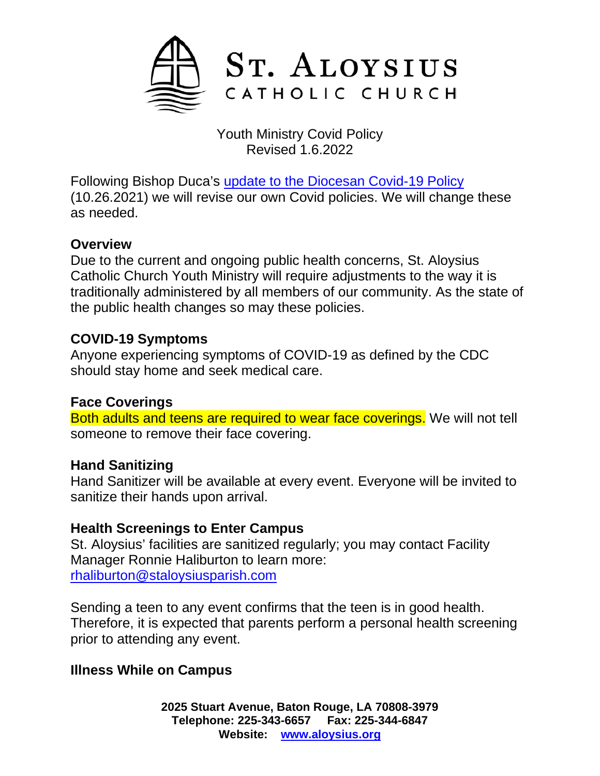

Youth Ministry Covid Policy Revised 1.6.2022

Following Bishop Duca's [update to the Diocesan Covid-19 Policy](https://diobr.org/news/bishop-duca-issues-updates-to-diocesan-covid-19-policy) (10.26.2021) we will revise our own Covid policies. We will change these as needed.

### **Overview**

Due to the current and ongoing public health concerns, St. Aloysius Catholic Church Youth Ministry will require adjustments to the way it is traditionally administered by all members of our community. As the state of the public health changes so may these policies.

# **COVID-19 Symptoms**

Anyone experiencing symptoms of COVID-19 as defined by the CDC should stay home and seek medical care.

### **Face Coverings**

Both adults and teens are required to wear face coverings. We will not tell someone to remove their face covering.

### **Hand Sanitizing**

Hand Sanitizer will be available at every event. Everyone will be invited to sanitize their hands upon arrival.

### **Health Screenings to Enter Campus**

St. Aloysius' facilities are sanitized regularly; you may contact Facility Manager Ronnie Haliburton to learn more: [rhaliburton@staloysiusparish.com](mailto:rhaliburton@staloysiusparish.com)

Sending a teen to any event confirms that the teen is in good health. Therefore, it is expected that parents perform a personal health screening prior to attending any event.

### **Illness While on Campus**